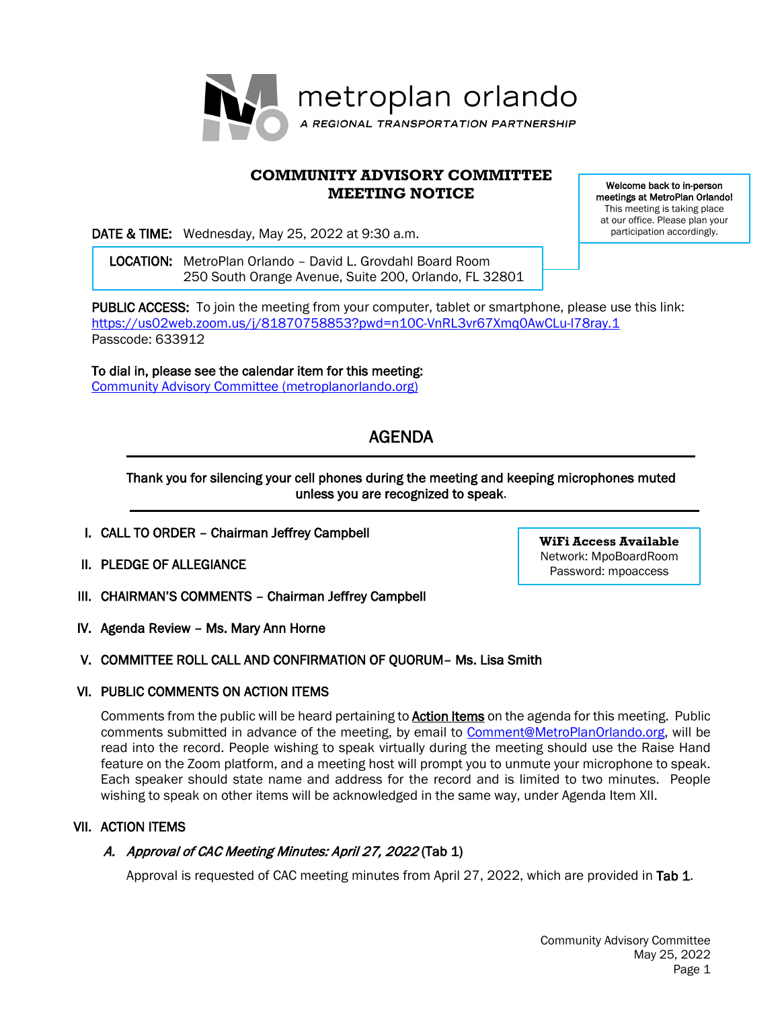

# **COMMUNITY ADVISORY COMMITTEE MEETING NOTICE**

DATE & TIME: Wednesday, May 25, 2022 at 9:30 a.m.

 LOCATION: MetroPlan Orlando – David L. Grovdahl Board Room 250 South Orange Avenue, Suite 200, Orlando, FL 32801 meetings at MetroPlan Orlando! This meeting is taking place at our office. Please plan your participation accordingly.

Welcome back to in-person

PUBLIC ACCESS: To join the meeting from your computer, tablet or smartphone, please use this link: <https://us02web.zoom.us/j/81870758853?pwd=n10C-VnRL3vr67Xmq0AwCLu-l78ray.1> Passcode: 633912

To dial in, please see the calendar item for this meeting: [Community Advisory Committee \(metroplanorlando.org\)](https://metroplanorlando.org/meetings/community-advisory-committee-04-27-22/)

# AGENDA

## Thank you for silencing your cell phones during the meeting and keeping microphones muted unless you are recognized to speak.

- I. CALL TO ORDER Chairman Jeffrey Campbell
- II. PLEDGE OF ALLEGIANCE
- III. CHAIRMAN'S COMMENTS Chairman Jeffrey Campbell
- IV. Agenda Review Ms. Mary Ann Horne

# V. COMMITTEE ROLL CALL AND CONFIRMATION OF QUORUM– Ms. Lisa Smith

## VI. PUBLIC COMMENTS ON ACTION ITEMS

Comments from the public will be heard pertaining to **Action Items** on the agenda for this meeting. Public comments submitted in advance of the meeting, by email to [Comment@MetroPlanOrlando.org,](mailto:Comment@MetroPlanOrlando.org) will be read into the record. People wishing to speak virtually during the meeting should use the Raise Hand feature on the Zoom platform, and a meeting host will prompt you to unmute your microphone to speak. Each speaker should state name and address for the record and is limited to two minutes. People wishing to speak on other items will be acknowledged in the same way, under Agenda Item XII.

## VII. ACTION ITEMS

# A. Approval of CAC Meeting Minutes: April 27, 2022 (Tab 1)

Approval is requested of CAC meeting minutes from April 27, 2022, which are provided in Tab 1.

**WiFi Access Available** Network: MpoBoardRoom Password: mpoaccess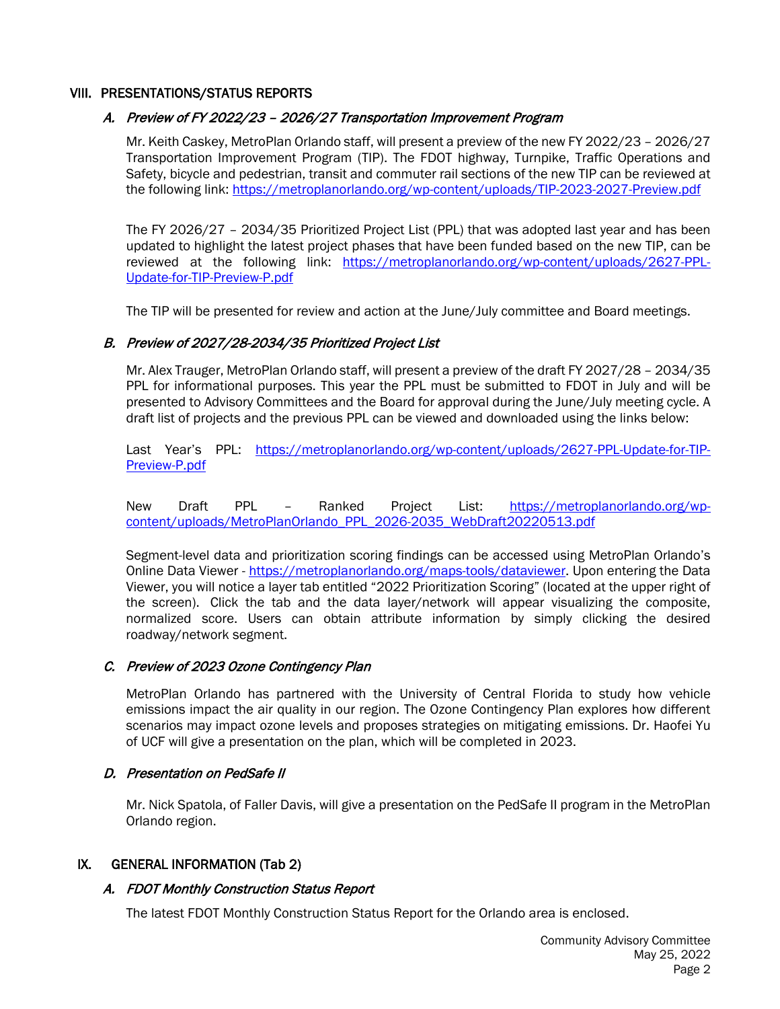#### VIII. PRESENTATIONS/STATUS REPORTS

## A. Preview of FY 2022/23 – 2026/27 Transportation Improvement Program

Mr. Keith Caskey, MetroPlan Orlando staff, will present a preview of the new FY 2022/23 – 2026/27 Transportation Improvement Program (TIP). The FDOT highway, Turnpike, Traffic Operations and Safety, bicycle and pedestrian, transit and commuter rail sections of the new TIP can be reviewed at the following link:<https://metroplanorlando.org/wp-content/uploads/TIP-2023-2027-Preview.pdf>

The FY 2026/27 – 2034/35 Prioritized Project List (PPL) that was adopted last year and has been updated to highlight the latest project phases that have been funded based on the new TIP, can be reviewed at the following link: [https://metroplanorlando.org/wp-content/uploads/2627-PPL-](https://metroplanorlando.org/wp-content/uploads/2627-PPL-Update-for-TIP-Preview-P.pdf)[Update-for-TIP-Preview-P.pdf](https://metroplanorlando.org/wp-content/uploads/2627-PPL-Update-for-TIP-Preview-P.pdf)

The TIP will be presented for review and action at the June/July committee and Board meetings.

## B. Preview of 2027/28-2034/35 Prioritized Project List

Mr. Alex Trauger, MetroPlan Orlando staff, will present a preview of the draft FY 2027/28 – 2034/35 PPL for informational purposes. This year the PPL must be submitted to FDOT in July and will be presented to Advisory Committees and the Board for approval during the June/July meeting cycle. A draft list of projects and the previous PPL can be viewed and downloaded using the links below:

Last Year's PPL: [https://metroplanorlando.org/wp-content/uploads/2627-PPL-Update-for-TIP-](https://metroplanorlando.org/wp-content/uploads/2627-PPL-Update-for-TIP-Preview-P.pdf)[Preview-P.pdf](https://metroplanorlando.org/wp-content/uploads/2627-PPL-Update-for-TIP-Preview-P.pdf)

New Draft PPL – Ranked Project List: [https://metroplanorlando.org/wp](https://metroplanorlando.org/wp-content/uploads/MetroPlanOrlando_PPL_2026-2035_WebDraft20220513.pdf)[content/uploads/MetroPlanOrlando\\_PPL\\_2026-2035\\_WebDraft20220513.pdf](https://metroplanorlando.org/wp-content/uploads/MetroPlanOrlando_PPL_2026-2035_WebDraft20220513.pdf)

Segment-level data and prioritization scoring findings can be accessed using MetroPlan Orlando's Online Data Viewer - [https://metroplanorlando.org/maps-tools/dataviewer.](https://metroplanorlando.org/maps-tools/dataviewer) Upon entering the Data Viewer, you will notice a layer tab entitled "2022 Prioritization Scoring" (located at the upper right of the screen). Click the tab and the data layer/network will appear visualizing the composite, normalized score. Users can obtain attribute information by simply clicking the desired roadway/network segment.

## C. Preview of 2023 Ozone Contingency Plan

MetroPlan Orlando has partnered with the University of Central Florida to study how vehicle emissions impact the air quality in our region. The Ozone Contingency Plan explores how different scenarios may impact ozone levels and proposes strategies on mitigating emissions. Dr. Haofei Yu of UCF will give a presentation on the plan, which will be completed in 2023.

## D. Presentation on PedSafe II

Mr. Nick Spatola, of Faller Davis, will give a presentation on the PedSafe II program in the MetroPlan Orlando region.

#### IX. GENERAL INFORMATION (Tab 2)

## A. FDOT Monthly Construction Status Report

The latest FDOT Monthly Construction Status Report for the Orlando area is enclosed.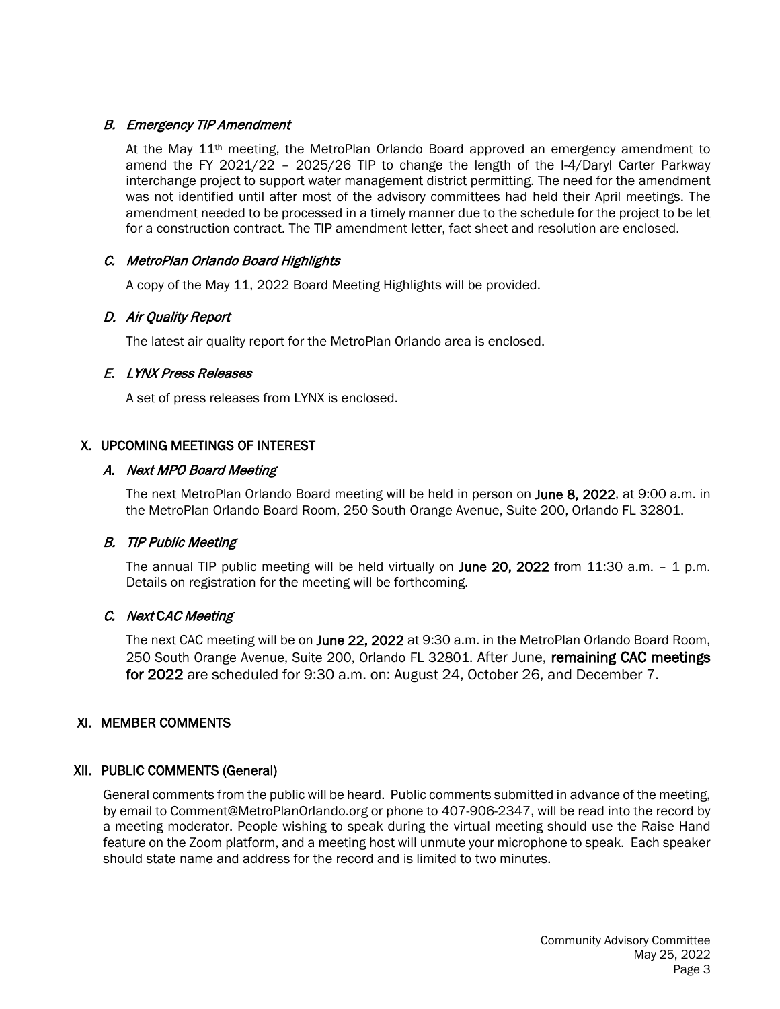# B. Emergency TIP Amendment

At the May 11<sup>th</sup> meeting, the MetroPlan Orlando Board approved an emergency amendment to amend the FY 2021/22 – 2025/26 TIP to change the length of the I-4/Daryl Carter Parkway interchange project to support water management district permitting. The need for the amendment was not identified until after most of the advisory committees had held their April meetings. The amendment needed to be processed in a timely manner due to the schedule for the project to be let for a construction contract. The TIP amendment letter, fact sheet and resolution are enclosed.

# C. MetroPlan Orlando Board Highlights

A copy of the May 11, 2022 Board Meeting Highlights will be provided.

## D. Air Quality Report

The latest air quality report for the MetroPlan Orlando area is enclosed.

## E. LYNX Press Releases

A set of press releases from LYNX is enclosed.

# X. UPCOMING MEETINGS OF INTEREST

# A. Next MPO Board Meeting

The next MetroPlan Orlando Board meeting will be held in person on June 8, 2022, at 9:00 a.m. in the MetroPlan Orlando Board Room, 250 South Orange Avenue, Suite 200, Orlando FL 32801.

## B. TIP Public Meeting

The annual TIP public meeting will be held virtually on June 20, 2022 from 11:30 a.m. - 1 p.m. Details on registration for the meeting will be forthcoming.

## C. Next CAC Meeting

The next CAC meeting will be on June 22, 2022 at 9:30 a.m. in the MetroPlan Orlando Board Room, 250 South Orange Avenue, Suite 200, Orlando FL 32801. After June, remaining CAC meetings for 2022 are scheduled for 9:30 a.m. on: August 24, October 26, and December 7.

## XI. MEMBER COMMENTS

## XII. PUBLIC COMMENTS (General)

General comments from the public will be heard. Public comments submitted in advance of the meeting, by email to Comment@MetroPlanOrlando.org or phone to 407-906-2347, will be read into the record by a meeting moderator. People wishing to speak during the virtual meeting should use the Raise Hand feature on the Zoom platform, and a meeting host will unmute your microphone to speak. Each speaker should state name and address for the record and is limited to two minutes.